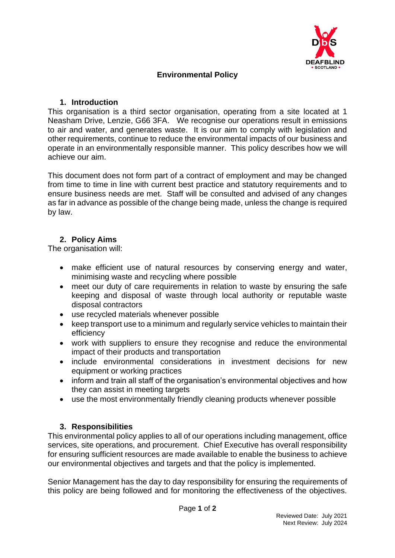

# **Environmental Policy**

#### **1. Introduction**

This organisation is a third sector organisation, operating from a site located at 1 Neasham Drive, Lenzie, G66 3FA. We recognise our operations result in emissions to air and water, and generates waste. It is our aim to comply with legislation and other requirements, continue to reduce the environmental impacts of our business and operate in an environmentally responsible manner. This policy describes how we will achieve our aim.

This document does not form part of a contract of employment and may be changed from time to time in line with current best practice and statutory requirements and to ensure business needs are met. Staff will be consulted and advised of any changes as far in advance as possible of the change being made, unless the change is required by law.

#### **2. Policy Aims**

The organisation will:

- make efficient use of natural resources by conserving energy and water, minimising waste and recycling where possible
- meet our duty of care requirements in relation to waste by ensuring the safe keeping and disposal of waste through local authority or reputable waste disposal contractors
- use recycled materials whenever possible
- keep transport use to a minimum and regularly service vehicles to maintain their efficiency
- work with suppliers to ensure they recognise and reduce the environmental impact of their products and transportation
- include environmental considerations in investment decisions for new equipment or working practices
- inform and train all staff of the organisation's environmental objectives and how they can assist in meeting targets
- use the most environmentally friendly cleaning products whenever possible

## **3. Responsibilities**

This environmental policy applies to all of our operations including management, office services, site operations, and procurement. Chief Executive has overall responsibility for ensuring sufficient resources are made available to enable the business to achieve our environmental objectives and targets and that the policy is implemented.

Senior Management has the day to day responsibility for ensuring the requirements of this policy are being followed and for monitoring the effectiveness of the objectives.